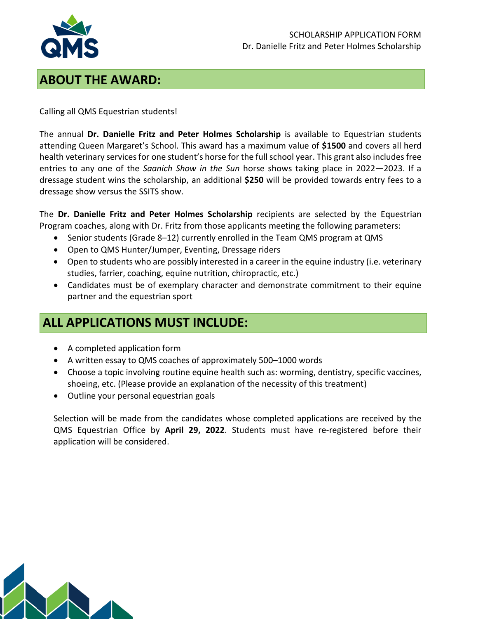

#### **ABOUT THE AWARD:**

Calling all QMS Equestrian students!

The annual **Dr. Danielle Fritz and Peter Holmes Scholarship** is available to Equestrian students attending Queen Margaret's School. This award has a maximum value of **\$1500** and covers all herd health veterinary services for one student's horse for the full school year. This grant also includes free entries to any one of the *Saanich Show in the Sun* horse shows taking place in 2022—2023. If a dressage student wins the scholarship, an additional **\$250** will be provided towards entry fees to a dressage show versus the SSITS show.

The **Dr. Danielle Fritz and Peter Holmes Scholarship** recipients are selected by the Equestrian Program coaches, along with Dr. Fritz from those applicants meeting the following parameters:

- Senior students (Grade 8–12) currently enrolled in the Team QMS program at QMS
- Open to QMS Hunter/Jumper, Eventing, Dressage riders
- Open to students who are possibly interested in a career in the equine industry (i.e. veterinary studies, farrier, coaching, equine nutrition, chiropractic, etc.)
- Candidates must be of exemplary character and demonstrate commitment to their equine partner and the equestrian sport

## **ALL APPLICATIONS MUST INCLUDE:**

- A completed application form
- A written essay to QMS coaches of approximately 500–1000 words
- Choose a topic involving routine equine health such as: worming, dentistry, specific vaccines, shoeing, etc. (Please provide an explanation of the necessity of this treatment)
- Outline your personal equestrian goals

Selection will be made from the candidates whose completed applications are received by the QMS Equestrian Office by **April 29, 2022**. Students must have re-registered before their application will be considered.

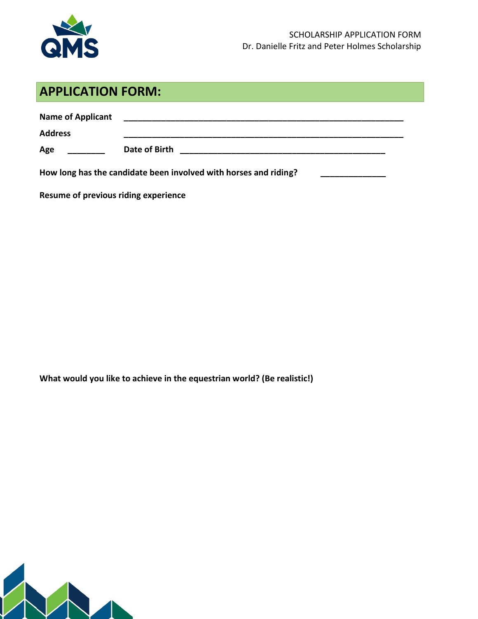

### **APPLICATION FORM:**

| <b>Name of Applicant</b> |               |
|--------------------------|---------------|
| <b>Address</b>           |               |
| Age                      | Date of Birth |

**How long has the candidate been involved with horses and riding? \_\_\_\_\_\_\_\_\_\_\_\_\_\_**

**Resume of previous riding experience**

**What would you like to achieve in the equestrian world? (Be realistic!)**

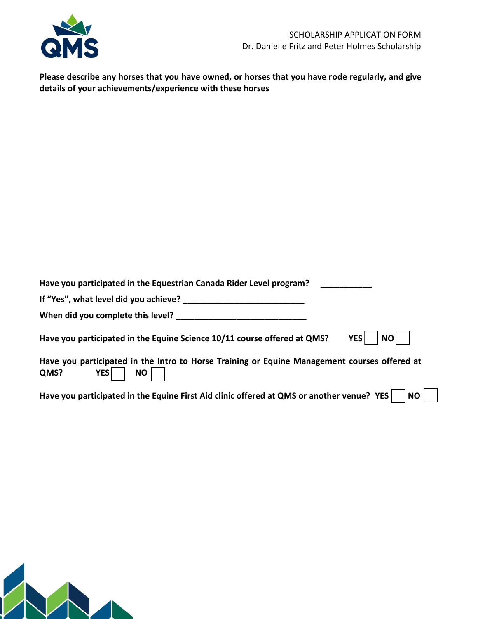

**Please describe any horses that you have owned, or horses that you have rode regularly, and give details of your achievements/experience with these horses**

| Have you participated in the Equestrian Canada Rider Level program?                                                             |
|---------------------------------------------------------------------------------------------------------------------------------|
| If "Yes", what level did you achieve?                                                                                           |
| When did you complete this level?                                                                                               |
| <b>YES</b><br><b>NO</b><br>Have you participated in the Equine Science 10/11 course offered at QMS?                             |
| Have you participated in the Intro to Horse Training or Equine Management courses offered at<br><b>YES</b><br><b>NO</b><br>QMS? |
| Have you participated in the Equine First Aid clinic offered at QMS or another venue? YES<br>  NO                               |